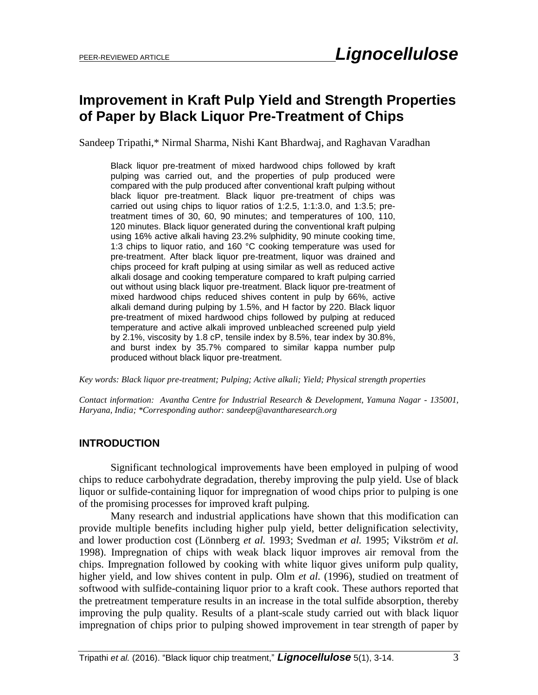# **Improvement in Kraft Pulp Yield and Strength Properties of Paper by Black Liquor Pre-Treatment of Chips**

Sandeep Tripathi,\* Nirmal Sharma, Nishi Kant Bhardwaj, and Raghavan Varadhan

Black liquor pre-treatment of mixed hardwood chips followed by kraft pulping was carried out, and the properties of pulp produced were compared with the pulp produced after conventional kraft pulping without black liquor pre-treatment. Black liquor pre-treatment of chips was carried out using chips to liquor ratios of 1:2.5, 1:1:3.0, and 1:3.5; pretreatment times of 30, 60, 90 minutes; and temperatures of 100, 110, 120 minutes. Black liquor generated during the conventional kraft pulping using 16% active alkali having 23.2% sulphidity, 90 minute cooking time, 1:3 chips to liquor ratio, and 160 °C cooking temperature was used for pre-treatment. After black liquor pre-treatment, liquor was drained and chips proceed for kraft pulping at using similar as well as reduced active alkali dosage and cooking temperature compared to kraft pulping carried out without using black liquor pre-treatment. Black liquor pre-treatment of mixed hardwood chips reduced shives content in pulp by 66%, active alkali demand during pulping by 1.5%, and H factor by 220. Black liquor pre-treatment of mixed hardwood chips followed by pulping at reduced temperature and active alkali improved unbleached screened pulp yield by 2.1%, viscosity by 1.8 cP, tensile index by 8.5%, tear index by 30.8%, and burst index by 35.7% compared to similar kappa number pulp produced without black liquor pre-treatment.

*Key words: Black liquor pre-treatment; Pulping; Active alkali; Yield; Physical strength properties*

*Contact information: Avantha Centre for Industrial Research & Development, Yamuna Nagar - 135001, Haryana, India; \*Corresponding author: [sandeep@avantharesearch.org](mailto:sandeep@avantharesearch.org)*

## **INTRODUCTION**

Significant technological improvements have been employed in pulping of wood chips to reduce carbohydrate degradation, thereby improving the pulp yield. Use of black liquor or sulfide-containing liquor for impregnation of wood chips prior to pulping is one of the promising processes for improved kraft pulping.

Many research and industrial applications have shown that this modification can provide multiple benefits including higher pulp yield, better delignification selectivity, and lower production cost (Lönnberg *et al.* 1993; Svedman *et al.* 1995; Vikström *et al.* 1998). Impregnation of chips with weak black liquor improves air removal from the chips. Impregnation followed by cooking with white liquor gives uniform pulp quality, higher yield, and low shives content in pulp. Olm *et al.* (1996), studied on treatment of softwood with sulfide-containing liquor prior to a kraft cook. These authors reported that the pretreatment temperature results in an increase in the total sulfide absorption, thereby improving the pulp quality. Results of a plant-scale study carried out with black liquor impregnation of chips prior to pulping showed improvement in tear strength of paper by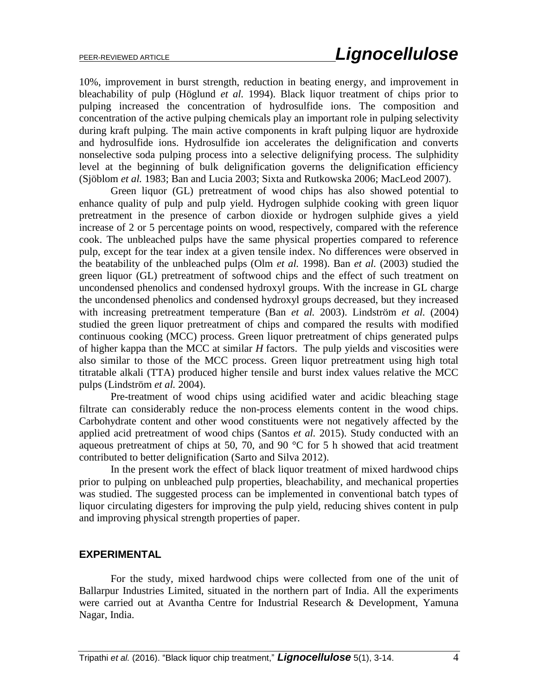10%, improvement in burst strength, reduction in beating energy, and improvement in bleachability of pulp (Höglund *et al.* 1994). Black liquor treatment of chips prior to pulping increased the concentration of hydrosulfide ions. The composition and concentration of the active pulping chemicals play an important role in pulping selectivity during kraft pulping. The main active components in kraft pulping liquor are hydroxide and hydrosulfide ions. Hydrosulfide ion accelerates the delignification and converts nonselective soda pulping process into a selective delignifying process. The sulphidity level at the beginning of bulk delignification governs the delignification efficiency (Sjöblom *et al.* 1983; Ban and Lucia 2003; Sixta and Rutkowska 2006; MacLeod 2007).

Green liquor (GL) pretreatment of wood chips has also showed potential to enhance quality of pulp and pulp yield. Hydrogen sulphide cooking with green liquor pretreatment in the presence of carbon dioxide or hydrogen sulphide gives a yield increase of 2 or 5 percentage points on wood, respectively, compared with the reference cook. The unbleached pulps have the same physical properties compared to reference pulp, except for the tear index at a given tensile index. No differences were observed in the beatability of the unbleached pulps (Olm *et al.* 1998). Ban *et al.* (2003) studied the green liquor (GL) pretreatment of softwood chips and the effect of such treatment on uncondensed phenolics and condensed hydroxyl groups. With the increase in GL charge the uncondensed phenolics and condensed hydroxyl groups decreased, but they increased with increasing pretreatment temperature (Ban *et al.* 2003). Lindström *et al.* (2004) studied the green liquor pretreatment of chips and compared the results with modified continuous cooking (MCC) process. Green liquor pretreatment of chips generated pulps of higher kappa than the MCC at similar *H* factors. The pulp yields and viscosities were also similar to those of the MCC process. Green liquor pretreatment using high total titratable alkali (TTA) produced higher tensile and burst index values relative the MCC pulps (Lindström *et al.* 2004).

Pre-treatment of wood chips using acidified water and acidic bleaching stage filtrate can considerably reduce the non-process elements content in the wood chips. Carbohydrate content and other wood constituents were not negatively affected by the applied acid pretreatment of wood chips (Santos *et al.* 2015). Study conducted with an aqueous pretreatment of chips at 50, 70, and 90  $^{\circ}$ C for 5 h showed that acid treatment contributed to better delignification (Sarto and Silva 2012).

In the present work the effect of black liquor treatment of mixed hardwood chips prior to pulping on unbleached pulp properties, bleachability, and mechanical properties was studied. The suggested process can be implemented in conventional batch types of liquor circulating digesters for improving the pulp yield, reducing shives content in pulp and improving physical strength properties of paper.

#### **EXPERIMENTAL**

For the study, mixed hardwood chips were collected from one of the unit of Ballarpur Industries Limited, situated in the northern part of India. All the experiments were carried out at Avantha Centre for Industrial Research & Development, Yamuna Nagar, India.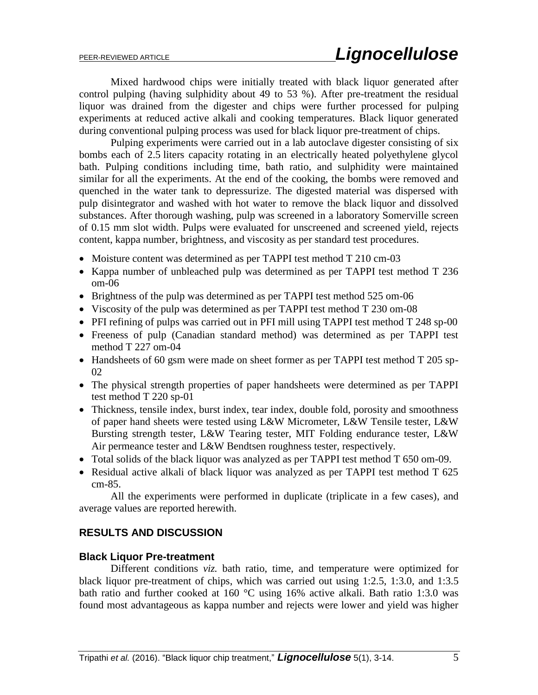Mixed hardwood chips were initially treated with black liquor generated after control pulping (having sulphidity about 49 to 53 %). After pre-treatment the residual liquor was drained from the digester and chips were further processed for pulping experiments at reduced active alkali and cooking temperatures. Black liquor generated during conventional pulping process was used for black liquor pre-treatment of chips.

Pulping experiments were carried out in a lab autoclave digester consisting of six bombs each of 2.5 liters capacity rotating in an electrically heated polyethylene glycol bath. Pulping conditions including time, bath ratio, and sulphidity were maintained similar for all the experiments. At the end of the cooking, the bombs were removed and quenched in the water tank to depressurize. The digested material was dispersed with pulp disintegrator and washed with hot water to remove the black liquor and dissolved substances. After thorough washing, pulp was screened in a laboratory Somerville screen of 0.15 mm slot width. Pulps were evaluated for unscreened and screened yield, rejects content, kappa number, brightness, and viscosity as per standard test procedures.

- Moisture content was determined as per TAPPI test method T 210 cm-03
- Kappa number of unbleached pulp was determined as per TAPPI test method T 236 om-06
- Brightness of the pulp was determined as per TAPPI test method 525 om-06
- Viscosity of the pulp was determined as per TAPPI test method T 230 om-08
- PFI refining of pulps was carried out in PFI mill using TAPPI test method T 248 sp-00
- Freeness of pulp (Canadian standard method) was determined as per TAPPI test method T 227 om-04
- Handsheets of 60 gsm were made on sheet former as per TAPPI test method T 205 sp-02
- The physical strength properties of paper handsheets were determined as per TAPPI test method T 220 sp-01
- Thickness, tensile index, burst index, tear index, double fold, porosity and smoothness of paper hand sheets were tested using L&W Micrometer, L&W Tensile tester, L&W Bursting strength tester, L&W Tearing tester, MIT Folding endurance tester, L&W Air permeance tester and L&W Bendtsen roughness tester, respectively.
- Total solids of the black liquor was analyzed as per TAPPI test method T 650 om-09.
- Residual active alkali of black liquor was analyzed as per TAPPI test method T 625 cm-85.

All the experiments were performed in duplicate (triplicate in a few cases), and average values are reported herewith.

## **RESULTS AND DISCUSSION**

#### **Black Liquor Pre-treatment**

Different conditions *viz.* bath ratio, time, and temperature were optimized for black liquor pre-treatment of chips, which was carried out using 1:2.5, 1:3.0, and 1:3.5 bath ratio and further cooked at 160 °C using 16% active alkali. Bath ratio 1:3.0 was found most advantageous as kappa number and rejects were lower and yield was higher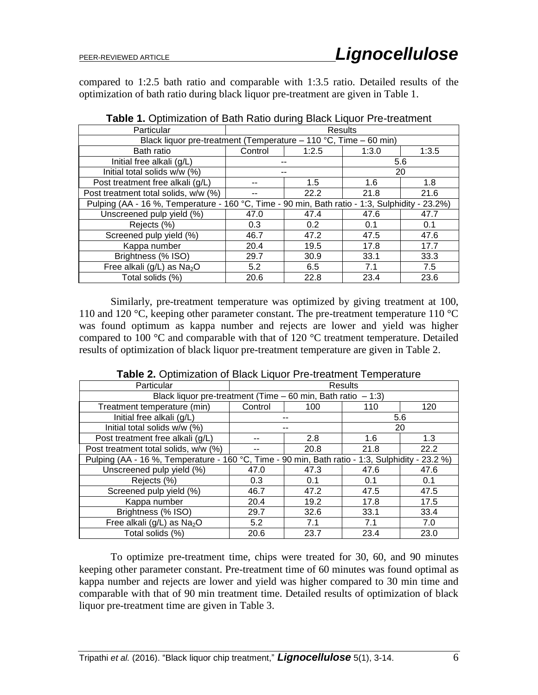compared to 1:2.5 bath ratio and comparable with 1:3.5 ratio. Detailed results of the optimization of bath ratio during black liquor pre-treatment are given in Table 1.

| Particular                                                                                     | Results |                  |       |       |  |
|------------------------------------------------------------------------------------------------|---------|------------------|-------|-------|--|
| Black liquor pre-treatment (Temperature $-110$ °C, Time $-60$ min)                             |         |                  |       |       |  |
| Bath ratio                                                                                     | Control | 1:2.5            | 1:3.0 | 1:3.5 |  |
| Initial free alkali (g/L)                                                                      |         |                  |       | 5.6   |  |
| Initial total solids w/w (%)                                                                   |         | --               |       | 20    |  |
| Post treatment free alkali (g/L)                                                               |         | 1.5              | 1.6   | 1.8   |  |
| Post treatment total solids, w/w (%)                                                           |         | 22.2             | 21.8  | 21.6  |  |
| Pulping (AA - 16 %, Temperature - 160 °C, Time - 90 min, Bath ratio - 1:3, Sulphidity - 23.2%) |         |                  |       |       |  |
| Unscreened pulp yield (%)                                                                      | 47.0    | 47.4             | 47.6  | 47.7  |  |
| Rejects (%)                                                                                    | 0.3     | 0.2 <sub>0</sub> | 0.1   | 0.1   |  |
| Screened pulp yield (%)                                                                        | 46.7    | 47.2             | 47.5  | 47.6  |  |
| Kappa number                                                                                   | 20.4    | 19.5             | 17.8  | 17.7  |  |
| Brightness (% ISO)                                                                             | 29.7    | 30.9             | 33.1  | 33.3  |  |
| Free alkali ( $g/L$ ) as Na <sub>2</sub> O                                                     | 5.2     | 6.5              | 7.1   | 7.5   |  |
| Total solids (%)                                                                               | 20.6    | 22.8             | 23.4  | 23.6  |  |

**Table 1.** Optimization of Bath Ratio during Black Liquor Pre-treatment

Similarly, pre-treatment temperature was optimized by giving treatment at 100, 110 and 120 °C, keeping other parameter constant. The pre-treatment temperature 110 °C was found optimum as kappa number and rejects are lower and yield was higher compared to 100 °C and comparable with that of 120 °C treatment temperature. Detailed results of optimization of black liquor pre-treatment temperature are given in Table 2.

| Particular                                                                                      | Results                                                         |      |      |      |  |
|-------------------------------------------------------------------------------------------------|-----------------------------------------------------------------|------|------|------|--|
|                                                                                                 | Black liquor pre-treatment (Time $-60$ min, Bath ratio $-1:3$ ) |      |      |      |  |
| Treatment temperature (min)                                                                     | Control                                                         | 100  | 110  | 120  |  |
| Initial free alkali (g/L)                                                                       |                                                                 |      | 5.6  |      |  |
| Initial total solids w/w (%)                                                                    |                                                                 |      | 20   |      |  |
| Post treatment free alkali (g/L)                                                                |                                                                 | 2.8  | 1.6  | 1.3  |  |
| Post treatment total solids, w/w (%)                                                            |                                                                 | 20.8 | 21.8 | 22.2 |  |
| Pulping (AA - 16 %, Temperature - 160 °C, Time - 90 min, Bath ratio - 1:3, Sulphidity - 23.2 %) |                                                                 |      |      |      |  |
| Unscreened pulp yield (%)                                                                       | 47.0                                                            | 47.3 | 47.6 | 47.6 |  |
| Rejects (%)                                                                                     | 0.3 <sub>2</sub>                                                | 0.1  | 0.1  | 0.1  |  |
| Screened pulp yield (%)                                                                         | 46.7                                                            | 47.2 | 47.5 | 47.5 |  |
| Kappa number                                                                                    | 20.4                                                            | 19.2 | 17.8 | 17.5 |  |
| Brightness (% ISO)                                                                              | 29.7                                                            | 32.6 | 33.1 | 33.4 |  |
| Free alkali (g/L) as Na <sub>2</sub> O                                                          | 5.2                                                             | 7.1  | 7.1  | 7.0  |  |
| Total solids (%)                                                                                | 20.6                                                            | 23.7 | 23.4 | 23.0 |  |

**Table 2.** Optimization of Black Liquor Pre-treatment Temperature

To optimize pre-treatment time, chips were treated for 30, 60, and 90 minutes keeping other parameter constant. Pre-treatment time of 60 minutes was found optimal as kappa number and rejects are lower and yield was higher compared to 30 min time and comparable with that of 90 min treatment time. Detailed results of optimization of black liquor pre-treatment time are given in Table 3.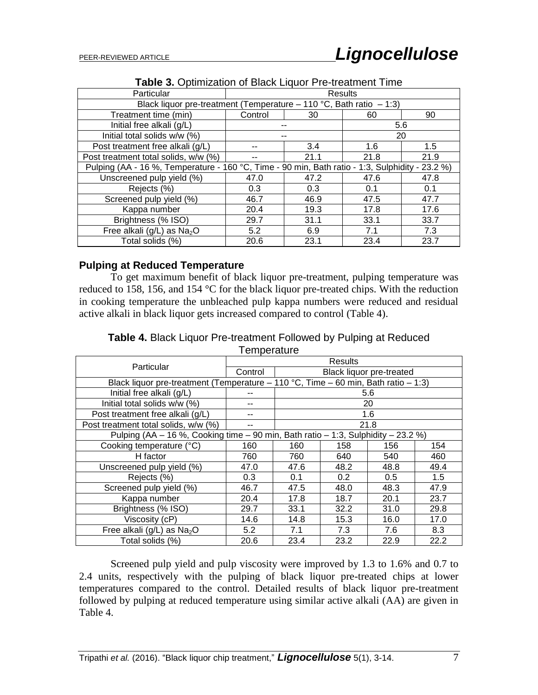| Particular                                                                                      | <b>Results</b>                                                      |      |      |      |  |
|-------------------------------------------------------------------------------------------------|---------------------------------------------------------------------|------|------|------|--|
|                                                                                                 | Black liquor pre-treatment (Temperature – 110 °C, Bath ratio – 1:3) |      |      |      |  |
| Treatment time (min)                                                                            | Control                                                             | 30   | 60   | 90   |  |
| Initial free alkali (g/L)                                                                       |                                                                     | --   |      | 5.6  |  |
| Initial total solids w/w (%)                                                                    |                                                                     |      |      | 20   |  |
| Post treatment free alkali (g/L)                                                                |                                                                     | 3.4  | 1.6  | 1.5  |  |
| Post treatment total solids, w/w (%)                                                            |                                                                     | 21.1 | 21.8 | 21.9 |  |
| Pulping (AA - 16 %, Temperature - 160 °C, Time - 90 min, Bath ratio - 1:3, Sulphidity - 23.2 %) |                                                                     |      |      |      |  |
| Unscreened pulp yield (%)                                                                       | 47.0                                                                | 47.2 | 47.6 | 47.8 |  |
| Rejects (%)                                                                                     | 0.3                                                                 | 0.3  | 0.1  | 0.1  |  |
| Screened pulp yield (%)                                                                         | 46.7                                                                | 46.9 | 47.5 | 47.7 |  |
| Kappa number                                                                                    | 20.4                                                                | 19.3 | 17.8 | 17.6 |  |
| Brightness (% ISO)                                                                              | 29.7                                                                | 31.1 | 33.1 | 33.7 |  |
| Free alkali ( $g/L$ ) as Na <sub>2</sub> O                                                      | 5.2                                                                 | 6.9  | 7.1  | 7.3  |  |
| Total solids (%)                                                                                | 20.6                                                                | 23.1 | 23.4 | 23.7 |  |

**Table 3.** Optimization of Black Liquor Pre-treatment Time

## **Pulping at Reduced Temperature**

To get maximum benefit of black liquor pre-treatment, pulping temperature was reduced to 158, 156, and 154 °C for the black liquor pre-treated chips. With the reduction in cooking temperature the unbleached pulp kappa numbers were reduced and residual active alkali in black liquor gets increased compared to control (Table 4).

**Table 4.** Black Liquor Pre-treatment Followed by Pulping at Reduced **Temperature** 

|                                            | Results                                                                            |      |      |                                 |      |
|--------------------------------------------|------------------------------------------------------------------------------------|------|------|---------------------------------|------|
| Particular                                 | Control                                                                            |      |      | <b>Black liquor pre-treated</b> |      |
|                                            | Black liquor pre-treatment (Temperature – 110 °C, Time – 60 min, Bath ratio – 1:3) |      |      |                                 |      |
| Initial free alkali (g/L)                  |                                                                                    |      |      | 5.6                             |      |
| Initial total solids w/w (%)               |                                                                                    |      |      | 20                              |      |
| Post treatment free alkali (g/L)           |                                                                                    |      |      | 1.6                             |      |
| Post treatment total solids, w/w (%)       |                                                                                    |      |      | 21.8                            |      |
|                                            | Pulping (AA - 16 %, Cooking time - 90 min, Bath ratio - 1:3, Sulphidity - 23.2 %)  |      |      |                                 |      |
| Cooking temperature (°C)                   | 160                                                                                | 160  | 158  | 156                             | 154  |
| H factor                                   | 760                                                                                | 760  | 640  | 540                             | 460  |
| Unscreened pulp yield (%)                  | 47.0                                                                               | 47.6 | 48.2 | 48.8                            | 49.4 |
| Rejects (%)                                | 0.3                                                                                | 0.1  | 0.2  | 0.5                             | 1.5  |
| Screened pulp yield (%)                    | 46.7                                                                               | 47.5 | 48.0 | 48.3                            | 47.9 |
| Kappa number                               | 20.4                                                                               | 17.8 | 18.7 | 20.1                            | 23.7 |
| Brightness (% ISO)                         | 29.7                                                                               | 33.1 | 32.2 | 31.0                            | 29.8 |
| Viscosity (cP)                             | 14.6                                                                               | 14.8 | 15.3 | 16.0                            | 17.0 |
| Free alkali ( $g/L$ ) as Na <sub>2</sub> O | 5.2                                                                                | 7.1  | 7.3  | 7.6                             | 8.3  |
| Total solids (%)                           | 20.6                                                                               | 23.4 | 23.2 | 22.9                            | 22.2 |

Screened pulp yield and pulp viscosity were improved by 1.3 to 1.6% and 0.7 to 2.4 units, respectively with the pulping of black liquor pre-treated chips at lower temperatures compared to the control. Detailed results of black liquor pre-treatment followed by pulping at reduced temperature using similar active alkali (AA) are given in Table 4.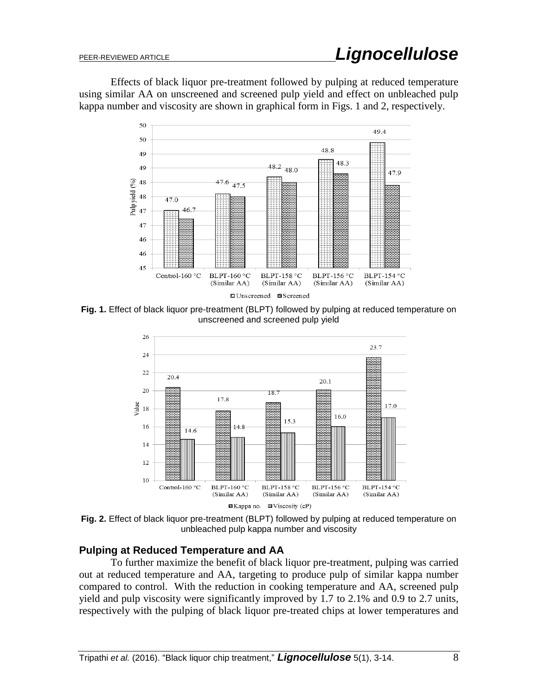Effects of black liquor pre-treatment followed by pulping at reduced temperature using similar AA on unscreened and screened pulp yield and effect on unbleached pulp kappa number and viscosity are shown in graphical form in Figs. 1 and 2, respectively.



**Fig. 1.** Effect of black liquor pre-treatment (BLPT) followed by pulping at reduced temperature on unscreened and screened pulp yield



**Fig. 2.** Effect of black liquor pre-treatment (BLPT) followed by pulping at reduced temperature on unbleached pulp kappa number and viscosity

## **Pulping at Reduced Temperature and AA**

To further maximize the benefit of black liquor pre-treatment, pulping was carried out at reduced temperature and AA, targeting to produce pulp of similar kappa number compared to control. With the reduction in cooking temperature and AA, screened pulp yield and pulp viscosity were significantly improved by 1.7 to 2.1% and 0.9 to 2.7 units, respectively with the pulping of black liquor pre-treated chips at lower temperatures and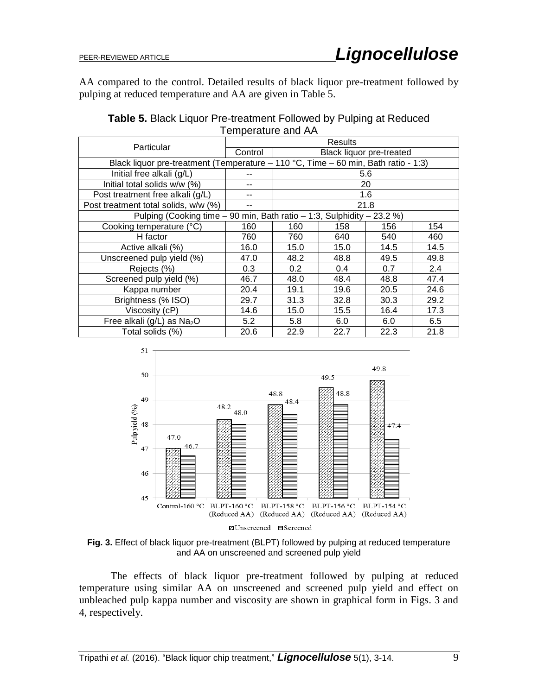AA compared to the control. Detailed results of black liquor pre-treatment followed by pulping at reduced temperature and AA are given in Table 5.

| Table 5. Black Liquor Pre-treatment Followed by Pulping at Reduced |                    |  |  |
|--------------------------------------------------------------------|--------------------|--|--|
|                                                                    | Temperature and AA |  |  |

| Particular                                                                         | <b>Results</b>                                                         |                          |      |      |      |
|------------------------------------------------------------------------------------|------------------------------------------------------------------------|--------------------------|------|------|------|
|                                                                                    | Control                                                                | Black liquor pre-treated |      |      |      |
| Black liquor pre-treatment (Temperature – 110 °C, Time – 60 min, Bath ratio - 1:3) |                                                                        |                          |      |      |      |
| Initial free alkali (g/L)                                                          |                                                                        |                          |      | 5.6  |      |
| Initial total solids w/w (%)                                                       |                                                                        |                          |      | 20   |      |
| Post treatment free alkali (g/L)                                                   |                                                                        |                          |      | 1.6  |      |
| Post treatment total solids, w/w (%)                                               |                                                                        |                          |      | 21.8 |      |
|                                                                                    | Pulping (Cooking time – 90 min, Bath ratio – 1:3, Sulphidity – 23.2 %) |                          |      |      |      |
| Cooking temperature (°C)                                                           | 160                                                                    | 160                      | 158  | 156  | 154  |
| H factor                                                                           | 760                                                                    | 760                      | 640  | 540  | 460  |
| Active alkali (%)                                                                  | 16.0                                                                   | 15.0                     | 15.0 | 14.5 | 14.5 |
| Unscreened pulp yield (%)                                                          | 47.0                                                                   | 48.2                     | 48.8 | 49.5 | 49.8 |
| Rejects (%)                                                                        | 0.3                                                                    | 0.2 <sub>0</sub>         | 0.4  | 0.7  | 2.4  |
| Screened pulp yield (%)                                                            | 46.7                                                                   | 48.0                     | 48.4 | 48.8 | 47.4 |
| Kappa number                                                                       | 20.4                                                                   | 19.1                     | 19.6 | 20.5 | 24.6 |
| Brightness (% ISO)                                                                 | 29.7                                                                   | 31.3                     | 32.8 | 30.3 | 29.2 |
| Viscosity (cP)                                                                     | 14.6                                                                   | 15.0                     | 15.5 | 16.4 | 17.3 |
| Free alkali ( $g/L$ ) as Na <sub>2</sub> O                                         | 5.2                                                                    | 5.8                      | 6.0  | 6.0  | 6.5  |
| Total solids (%)                                                                   | 20.6                                                                   | 22.9                     | 22.7 | 22.3 | 21.8 |



**Fig. 3.** Effect of black liquor pre-treatment (BLPT) followed by pulping at reduced temperature and AA on unscreened and screened pulp yield

The effects of black liquor pre-treatment followed by pulping at reduced temperature using similar AA on unscreened and screened pulp yield and effect on unbleached pulp kappa number and viscosity are shown in graphical form in Figs. 3 and 4, respectively.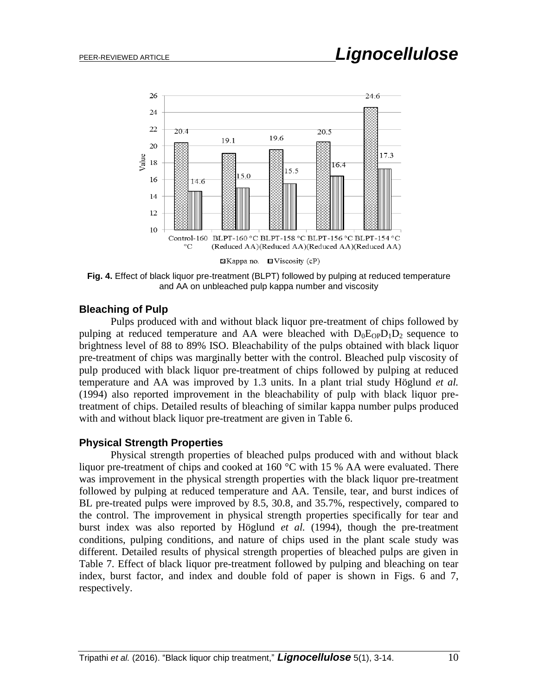

**Fig. 4.** Effect of black liquor pre-treatment (BLPT) followed by pulping at reduced temperature and AA on unbleached pulp kappa number and viscosity

## **Bleaching of Pulp**

Pulps produced with and without black liquor pre-treatment of chips followed by pulping at reduced temperature and AA were bleached with  $D_0E_{OP}D_1D_2$  sequence to brightness level of 88 to 89% ISO. Bleachability of the pulps obtained with black liquor pre-treatment of chips was marginally better with the control. Bleached pulp viscosity of pulp produced with black liquor pre-treatment of chips followed by pulping at reduced temperature and AA was improved by 1.3 units. In a plant trial study Höglund *et al.* (1994) also reported improvement in the bleachability of pulp with black liquor pretreatment of chips. Detailed results of bleaching of similar kappa number pulps produced with and without black liquor pre-treatment are given in Table 6.

## **Physical Strength Properties**

Physical strength properties of bleached pulps produced with and without black liquor pre-treatment of chips and cooked at 160  $^{\circ}$ C with 15 % AA were evaluated. There was improvement in the physical strength properties with the black liquor pre-treatment followed by pulping at reduced temperature and AA. Tensile, tear, and burst indices of BL pre-treated pulps were improved by 8.5, 30.8, and 35.7%, respectively, compared to the control. The improvement in physical strength properties specifically for tear and burst index was also reported by Höglund *et al.* (1994), though the pre-treatment conditions, pulping conditions, and nature of chips used in the plant scale study was different. Detailed results of physical strength properties of bleached pulps are given in Table 7. Effect of black liquor pre-treatment followed by pulping and bleaching on tear index, burst factor, and index and double fold of paper is shown in Figs. 6 and 7, respectively.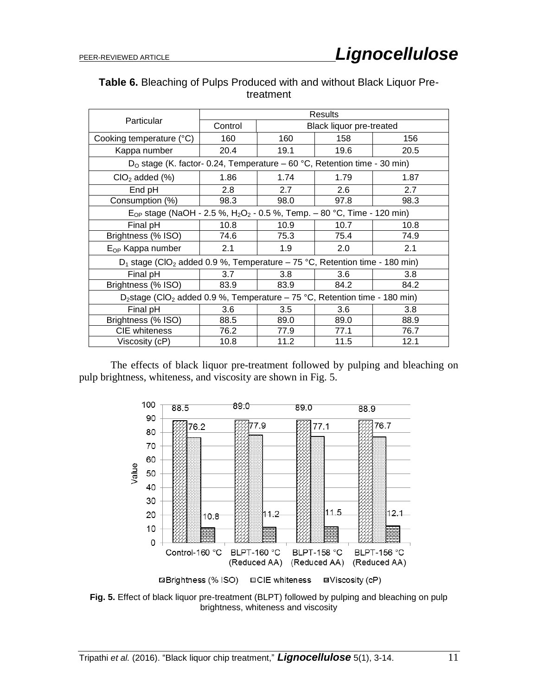| <b>Table 6.</b> Bleaching of Pulps Produced with and without Black Liquor Pre- |
|--------------------------------------------------------------------------------|
| treatment                                                                      |

|                                                                                                            | <b>Results</b> |      |                                 |                  |  |
|------------------------------------------------------------------------------------------------------------|----------------|------|---------------------------------|------------------|--|
| Particular                                                                                                 | Control        |      | <b>Black liquor pre-treated</b> |                  |  |
| Cooking temperature (°C)                                                                                   | 160            | 160  | 158                             | 156              |  |
| Kappa number                                                                                               | 20.4           | 19.1 | 19.6                            | 20.5             |  |
| D <sub>o</sub> stage (K. factor- 0.24, Temperature – 60 °C, Retention time - 30 min)                       |                |      |                                 |                  |  |
| $ClO2$ added $(\%)$                                                                                        | 1.86           | 1.74 | 1.79                            | 1.87             |  |
| End pH                                                                                                     | 2.8            | 2.7  | 2.6                             | 2.7              |  |
| Consumption (%)                                                                                            | 98.3           | 98.0 | 97.8                            | 98.3             |  |
| E <sub>OP</sub> stage (NaOH - 2.5 %, H <sub>2</sub> O <sub>2</sub> - 0.5 %, Temp. – 80 °C, Time - 120 min) |                |      |                                 |                  |  |
| Final pH                                                                                                   | 10.8           | 10.9 | 10.7                            | 10.8             |  |
| Brightness (% ISO)                                                                                         | 74.6           | 75.3 | 75.4                            | 74.9             |  |
| E <sub>OP</sub> Kappa number                                                                               | 2.1            | 1.9  | 2.0                             | 2.1              |  |
| $D_1$ stage (CIO <sub>2</sub> added 0.9 %, Temperature – 75 °C, Retention time - 180 min)                  |                |      |                                 |                  |  |
| Final pH                                                                                                   | 3.7            | 3.8  | 3.6                             | 3.8 <sub>2</sub> |  |
| Brightness (% ISO)                                                                                         | 83.9           | 83.9 | 84.2                            | 84.2             |  |
| D <sub>2</sub> stage (CIO <sub>2</sub> added 0.9 %, Temperature – 75 °C, Retention time - 180 min)         |                |      |                                 |                  |  |
| Final pH                                                                                                   | 3.6            | 3.5  | 3.6                             | 3.8              |  |
| Brightness (% ISO)                                                                                         | 88.5           | 89.0 | 89.0                            | 88.9             |  |
| <b>CIE</b> whiteness                                                                                       | 76.2           | 77.9 | 77.1                            | 76.7             |  |
| Viscosity (cP)                                                                                             | 10.8           | 11.2 | 11.5                            | 12.1             |  |

The effects of black liquor pre-treatment followed by pulping and bleaching on pulp brightness, whiteness, and viscosity are shown in Fig. 5.



**Fig. 5.** Effect of black liquor pre-treatment (BLPT) followed by pulping and bleaching on pulp brightness, whiteness and viscosity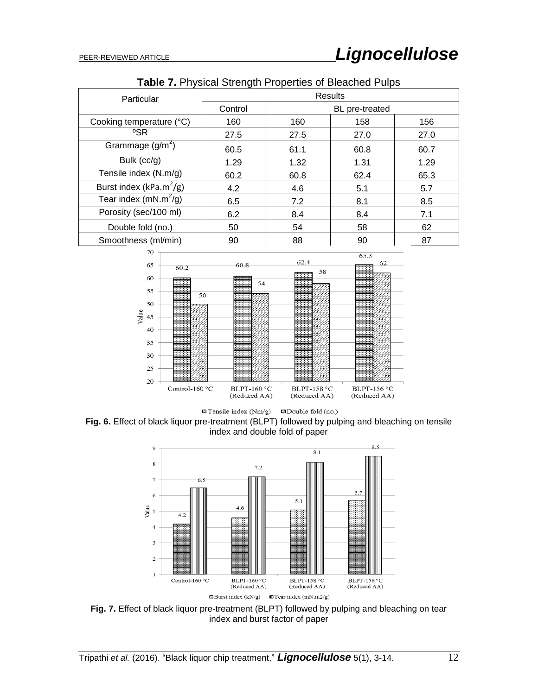| <b>Pasis 111111900al Ottoright Froportion of Biodoriou Faipo</b> |                                  |      |      |      |  |
|------------------------------------------------------------------|----------------------------------|------|------|------|--|
| Particular                                                       | Results                          |      |      |      |  |
|                                                                  | Control<br><b>BL</b> pre-treated |      |      |      |  |
| Cooking temperature (°C)                                         | 160                              | 160  | 158  | 156  |  |
| °SR                                                              | 27.5                             | 27.5 | 27.0 | 27.0 |  |
| Grammage $(g/m^2)$                                               | 60.5                             | 61.1 | 60.8 | 60.7 |  |
| Bulk $(cc/g)$                                                    | 1.29                             | 1.32 | 1.31 | 1.29 |  |
| Tensile index (N.m/g)                                            | 60.2                             | 60.8 | 62.4 | 65.3 |  |
| Burst index (kPa.m <sup>2</sup> /g)                              | 4.2                              | 4.6  | 5.1  | 5.7  |  |
| Tear index (mN.m <sup>2</sup> /g)                                | 6.5                              | 7.2  | 8.1  | 8.5  |  |
| Porosity (sec/100 ml)                                            | 6.2                              | 8.4  | 8.4  | 7.1  |  |
| Double fold (no.)                                                | 50                               | 54   | 58   | 62   |  |
| Smoothness (ml/min)                                              | 90                               | 88   | 90   | 87   |  |

**Table 7.** Physical Strength Properties of Bleached Pulps



 $\Box$  Tensile index (Nm/g)  $\Box$  Double fold (no.) **Fig. 6.** Effect of black liquor pre-treatment (BLPT) followed by pulping and bleaching on tensile index and double fold of paper



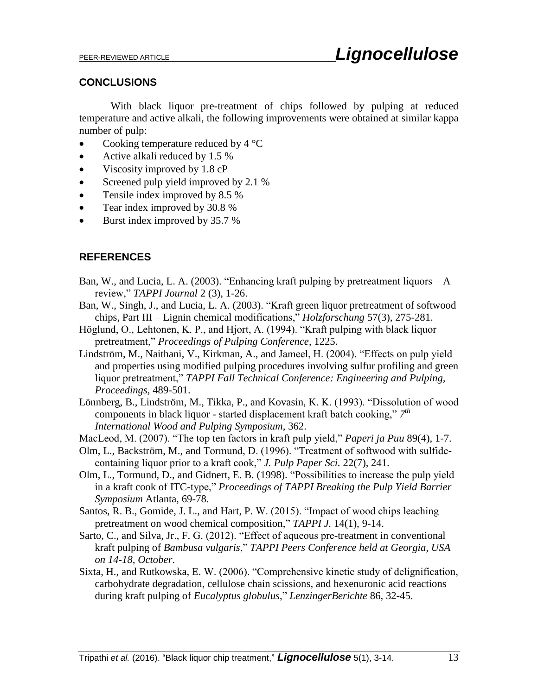## **CONCLUSIONS**

With black liquor pre-treatment of chips followed by pulping at reduced temperature and active alkali, the following improvements were obtained at similar kappa number of pulp:

- Cooking temperature reduced by  $4^{\circ}C$
- Active alkali reduced by 1.5 %
- Viscosity improved by 1.8 cP
- Screened pulp yield improved by 2.1 %
- Tensile index improved by 8.5 %
- Tear index improved by 30.8 %
- Burst index improved by 35.7 %

## **REFERENCES**

- Ban, W., and Lucia, L. A. (2003). "Enhancing kraft pulping by pretreatment liquors  $-A$ review," *TAPPI Journal* 2 (3), 1-26.
- Ban, W., Singh, J., and Lucia, L. A. (2003). "Kraft green liquor pretreatment of softwood chips, Part III – Lignin chemical modifications," *Holzforschung* 57(3), 275-281.
- Höglund, O., Lehtonen, K. P., and Hjort, A. (1994). "Kraft pulping with black liquor pretreatment," *Proceedings of Pulping Conference*, 1225.
- Lindström, M., Naithani, V., Kirkman, A., and Jameel, H. (2004). "Effects on pulp yield and properties using modified pulping procedures involving sulfur profiling and green liquor pretreatment," *TAPPI Fall Technical Conference: Engineering and Pulping, Proceedings,* 489-501.
- Lönnberg, B., Lindström, M., Tikka, P., and Kovasin, K. K. (1993). "Dissolution of wood components in black liquor - started displacement kraft batch cooking,"  $7<sup>th</sup>$ *International Wood and Pulping Symposium*, 362.
- MacLeod, M. (2007). "The top ten factors in kraft pulp yield," *Paperi ja Puu* 89(4), 1-7.
- Olm, L., Backström, M., and Tormund, D. (1996). "Treatment of softwood with sulfidecontaining liquor prior to a kraft cook," *J. Pulp Paper Sci.* 22(7), 241.
- Olm, L., Tormund, D., and Gidnert, E. B. (1998). "Possibilities to increase the pulp yield in a kraft cook of ITC-type," *Proceedings of TAPPI Breaking the Pulp Yield Barrier Symposium* Atlanta, 69-78.
- Santos, R. B., Gomide, J. L., and Hart, P. W. (2015). "Impact of wood chips leaching pretreatment on wood chemical composition," *TAPPI J.* 14(1), 9-14.
- Sarto, C., and Silva, Jr., F. G. (2012). "Effect of aqueous pre-treatment in conventional kraft pulping of *Bambusa vulgaris*," *TAPPI Peers Conference held at Georgia, USA on 14-18, October*.
- Sixta, H., and Rutkowska, E. W. (2006). "Comprehensive kinetic study of delignification, carbohydrate degradation, cellulose chain scissions, and hexenuronic acid reactions during kraft pulping of *Eucalyptus globulus*," *LenzingerBerichte* 86, 32-45.